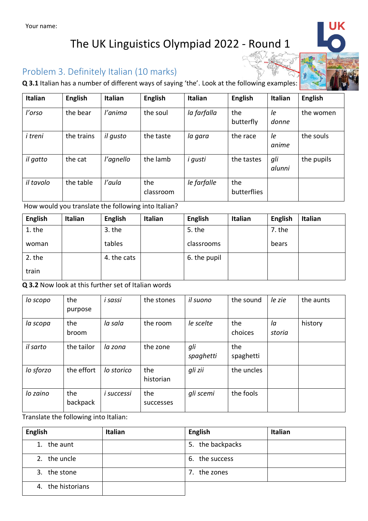## The UK Linguistics Olympiad 2022 - Round 1

### Problem 3. Definitely Italian (10 marks)

**Q 3.1** Italian has a number of different ways of saying 'the'. Look at the following examples:

| <b>Italian</b> | <b>English</b> | <b>Italian</b> | <b>English</b>   | <b>Italian</b> | <b>English</b>     | <b>Italian</b> | <b>English</b> |
|----------------|----------------|----------------|------------------|----------------|--------------------|----------------|----------------|
| l'orso         | the bear       | l'anima        | the soul         | la farfalla    | the<br>butterfly   | le<br>donne    | the women      |
| i treni        | the trains     | il qusto       | the taste        | la gara        | the race           | le<br>anime    | the souls      |
| il gatto       | the cat        | l'agnello      | the lamb         | i gusti        | the tastes         | gli<br>alunni  | the pupils     |
| il tavolo      | the table      | l'aula         | the<br>classroom | le farfalle    | the<br>butterflies |                |                |

How would you translate the following into Italian?

| <b>English</b> | Italian | <b>English</b> | <b>Italian</b> | <b>English</b> | Italian | <b>English</b> | Italian |
|----------------|---------|----------------|----------------|----------------|---------|----------------|---------|
| 1. the         |         | $3.$ the       |                | 5. the         |         | 7. the         |         |
| woman          |         | tables         |                | classrooms     |         | bears          |         |
| 2. the         |         | 4. the cats    |                | 6. the pupil   |         |                |         |
| train          |         |                |                |                |         |                |         |

**Q 3.2** Now look at this further set of Italian words

| lo scopo  | the<br>purpose  | i sassi    | the stones       | il suono         | the sound        | le zie       | the aunts |
|-----------|-----------------|------------|------------------|------------------|------------------|--------------|-----------|
| la scopa  | the<br>broom    | la sala    | the room         | le scelte        | the<br>choices   | la<br>storia | history   |
| il sarto  | the tailor      | la zona    | the zone         | gli<br>spaghetti | the<br>spaghetti |              |           |
| lo sforzo | the effort      | lo storico | the<br>historian | gli zii          | the uncles       |              |           |
| lo zaino  | the<br>backpack | i successi | the<br>successes | gli scemi        | the fools        |              |           |

Translate the following into Italian:

| <b>English</b>    | <b>Italian</b> | <b>English</b>   | Italian |
|-------------------|----------------|------------------|---------|
| 1. the aunt       |                | 5. the backpacks |         |
| 2. the uncle      |                | 6. the success   |         |
| 3. the stone      |                | the zones<br>7.  |         |
| 4. the historians |                |                  |         |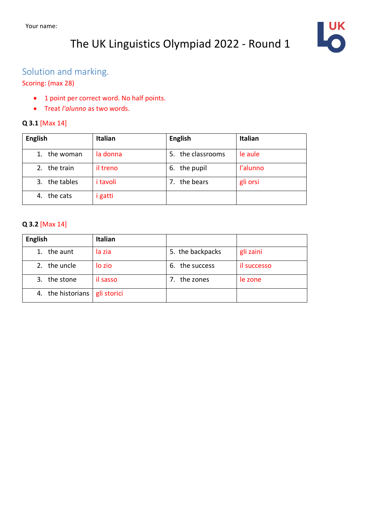## The UK Linguistics Olympiad 2022 - Round 1



### Solution and marking.

#### Scoring: (max 28)

- 1 point per correct word. No half points.
- Treat *l'alunno* as two words.

#### **Q 3.1** [Max 14]

| <b>English</b>   | <b>Italian</b>  | <b>English</b>       | Italian  |
|------------------|-----------------|----------------------|----------|
| the woman        | la donna        | the classrooms<br>5. | le aule  |
| the train<br>2.  | il treno        | the pupil<br>6.      | l'alunno |
| the tables<br>3. | <i>i</i> tavoli | the bears<br>7.      | gli orsi |
| the cats<br>4.   | <i>i</i> gatti  |                      |          |

#### **Q 3.2** [Max 14]

| <b>English</b>       | Italian     |                   |             |
|----------------------|-------------|-------------------|-------------|
| the aunt<br>1.       | la zia      | 5. the backpacks  | gli zaini   |
| the uncle<br>$2_{-}$ | lo zio      | the success<br>6. | il successo |
| the stone<br>3.      | il sasso    | the zones         | le zone     |
| the historians<br>4. | gli storici |                   |             |